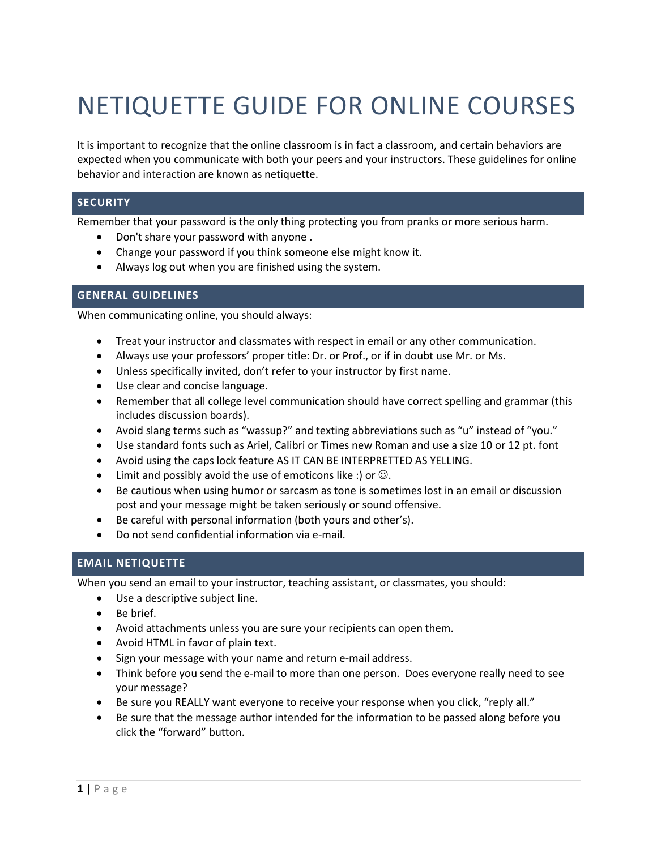# NETIQUETTE GUIDE FOR ONLINE COURSES

It is important to recognize that the online classroom is in fact a classroom, and certain behaviors are expected when you communicate with both your peers and your instructors. These guidelines for online behavior and interaction are known as netiquette.

## **SECURITY**

Remember that your password is the only thing protecting you from pranks or more serious harm.

- Don't share your password with anyone .
- Change your password if you think someone else might know it.
- Always log out when you are finished using the system.

#### **GENERAL GUIDELINES**

When communicating online, you should always:

- Treat your instructor and classmates with respect in email or any other communication.
- Always use your professors' proper title: Dr. or Prof., or if in doubt use Mr. or Ms.
- Unless specifically invited, don't refer to your instructor by first name.
- Use clear and concise language.
- Remember that all college level communication should have correct spelling and grammar (this includes discussion boards).
- Avoid slang terms such as "wassup?" and texting abbreviations such as "u" instead of "you."
- Use standard fonts such as Ariel, Calibri or Times new Roman and use a size 10 or 12 pt. font
- Avoid using the caps lock feature AS IT CAN BE INTERPRETTED AS YELLING.
- Limit and possibly avoid the use of emoticons like :) or  $\odot$ .
- Be cautious when using humor or sarcasm as tone is sometimes lost in an email or discussion post and your message might be taken seriously or sound offensive.
- Be careful with personal information (both yours and other's).
- Do not send confidential information via e-mail.

## **EMAIL NETIQUETTE**

When you send an email to your instructor, teaching assistant, or classmates, you should:

- Use a descriptive subject line.
- Be brief.
- Avoid attachments unless you are sure your recipients can open them.
- Avoid HTML in favor of plain text.
- Sign your message with your name and return e-mail address.
- Think before you send the e-mail to more than one person. Does everyone really need to see your message?
- Be sure you REALLY want everyone to receive your response when you click, "reply all."
- Be sure that the message author intended for the information to be passed along before you click the "forward" button.